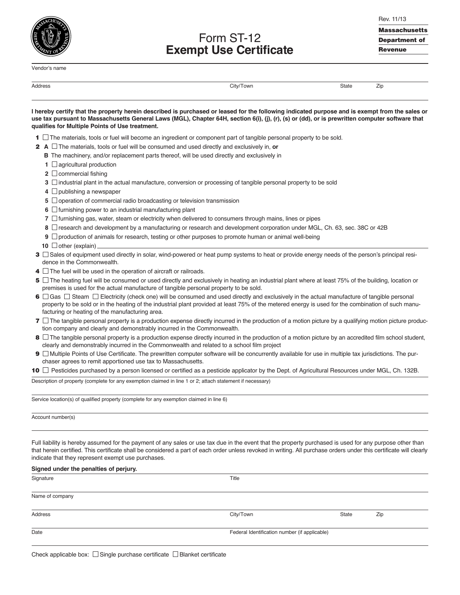Vendor's name

Form ST-12 **Exempt Use Certificate** Rev. 11/13 **Massachusetts Department of Revenue**

| Address |  |
|---------|--|

Address City/Town State Zip

| I hereby certify that the property herein described is purchased or leased for the following indicated purpose and is exempt from the sales or  |
|-------------------------------------------------------------------------------------------------------------------------------------------------|
| use tax pursuant to Massachusetts General Laws (MGL), Chapter 64H, section 6(i), (j), (r), (s) or (dd), or is prewritten computer software that |
| qualifies for Multiple Points of Use treatment.                                                                                                 |

- **1**  $\Box$  The materials, tools or fuel will become an ingredient or component part of tangible personal property to be sold.
- **2 A** □ The materials, tools or fuel will be consumed and used directly and exclusively in, **or** 
	- **B** The machinery, and/or replacement parts thereof, will be used directly and exclusively in
	- **1** □ agricultural production
	- **2** commercial fishing
	- **3**  $\Box$  industrial plant in the actual manufacture, conversion or processing of tangible personal property to be sold
	- **4** □ publishing a newspaper
	- **5** Operation of commercial radio broadcasting or television transmission
	- **6**  $\Box$  furnishing power to an industrial manufacturing plant
	- **7**  $\Box$  furnishing gas, water, steam or electricity when delivered to consumers through mains, lines or pipes
	- **8**  $□$  research and development by a manufacturing or research and development corporation under MGL, Ch. 63, sec. 38C or 42B
	- **9**  $\Box$  production of animals for research, testing or other purposes to promote human or animal well-being
	- **10** □ other (explain)
- 3  $\Box$  Sales of equipment used directly in solar, wind-powered or heat pump systems to heat or provide energy needs of the person's principal residence in the Commonwealth.
- **4**  $\Box$  The fuel will be used in the operation of aircraft or railroads.
- **5**  $□$  The heating fuel will be consumed or used directly and exclusively in heating an industrial plant where at least 75% of the building, location or premises is used for the actual manufacture of tangible personal property to be sold.
- **6**  $□$  Gas  $□$  Steam  $□$  Electricity (check one) will be consumed and used directly and exclusively in the actual manufacture of tangible personal property to be sold or in the heating of the industrial plant provided at least 75% of the metered energy is used for the combination of such manufacturing or heating of the manufacturing area.
- **7**  $\Box$  The tangible personal property is a production expense directly incurred in the production of a motion picture by a qualifying motion picture production company and clearly and demonstrably incurred in the Commonwealth.
- **8**  $□$  The tangible personal property is a production expense directly incurred in the production of a motion picture by an accredited film school student, clearly and demonstrably incurred in the Commonwealth and related to a school film project
- **9**  $□$  Multiple Points of Use Certificate. The prewritten computer software will be concurrently available for use in multiple tax jurisdictions. The purchaser agrees to remit apportioned use tax to Massachusetts.

**10** □ Pesticides purchased by a person licensed or certified as a pesticide applicator by the Dept. of Agricultural Resources under MGL, Ch. 132B.

Description of property (complete for any exemption claimed in line 1 or 2; attach statement if necessary)

Service location(s) of qualified property (complete for any exemption claimed in line 6)

Account number(s)

Full liability is hereby assumed for the payment of any sales or use tax due in the event that the property purchased is used for any purpose other than that herein certified. This certificate shall be considered a part of each order unless revoked in writing. All purchase orders under this certificate will clearly indicate that they represent exempt use purchases.

| Signed under the penalties of perjury. |           |                                               |     |  |  |
|----------------------------------------|-----------|-----------------------------------------------|-----|--|--|
| Signature                              | Title     |                                               |     |  |  |
| Name of company                        |           |                                               |     |  |  |
| Address                                | City/Town | State                                         | Zip |  |  |
| Date                                   |           | Federal Identification number (if applicable) |     |  |  |
|                                        |           |                                               |     |  |  |